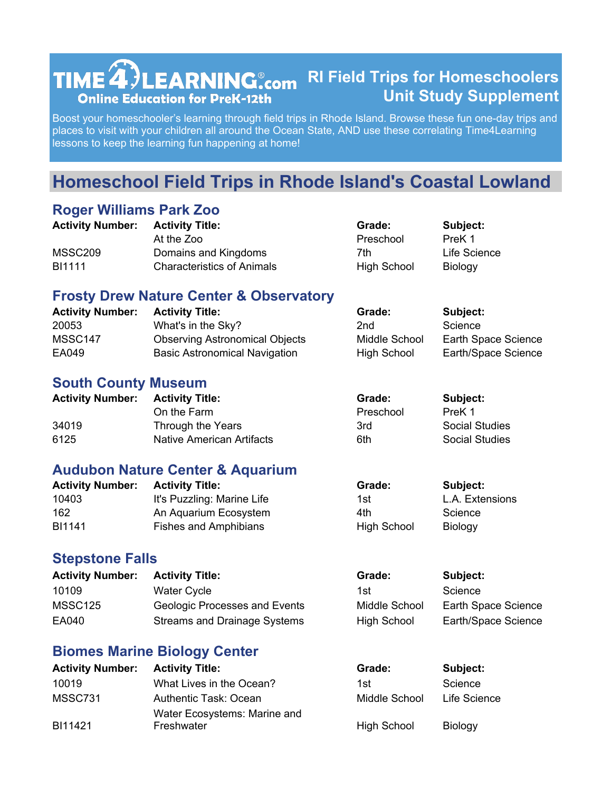#### **TIME<sup>2</sup>)LEARNING**.com RI Field Trips for Homeschoolers **Unit Study Supplement Online Education for PreK-12th**

Boost your homeschooler's learning through field trips in Rhode Island. Browse these fun one-day trips and places to visit with your children all around the Ocean State, AND use these correlating Time4Learning lessons to keep the learning fun happening at home!

# **Homeschool Field Trips in Rhode Island's Coastal Lowland**

#### **Roger Williams Park Zoo**

| <b>Activity Number:</b> | <b>Activity Title:</b>            | Grade:             | Subject:       |
|-------------------------|-----------------------------------|--------------------|----------------|
|                         | At the Zoo                        | Preschool          | PreK 1         |
| MSSC <sub>209</sub>     | Domains and Kingdoms              | 7th                | Life Science   |
| <b>BI1111</b>           | <b>Characteristics of Animals</b> | <b>High School</b> | <b>Biology</b> |

#### **Frosty Drew Nature Center & Observatory**

| <b>Activity Number:</b> | <b>Activity Title:</b>                | Grade:        | Subject:            |
|-------------------------|---------------------------------------|---------------|---------------------|
| 20053                   | What's in the Sky?                    | 2nd           | Science             |
| MSSC147                 | <b>Observing Astronomical Objects</b> | Middle School | Earth Space Science |
| EA049                   | <b>Basic Astronomical Navigation</b>  | High School   | Earth/Space Science |

#### **South County Museum**

| <b>Activity Number: Activity Title:</b> |                           | Grade:    | Subject:              |
|-----------------------------------------|---------------------------|-----------|-----------------------|
|                                         | On the Farm               | Preschool | PreK 1                |
| 34019                                   | Through the Years         | 3rd       | <b>Social Studies</b> |
| 6125                                    | Native American Artifacts | 6th       | Social Studies        |

#### **Audubon Nature Center & Aquarium**

| <b>Activity Number: Activity Title:</b> |                            | Grade:      | Subject:        |
|-----------------------------------------|----------------------------|-------------|-----------------|
| 10403                                   | It's Puzzling: Marine Life | 1st         | L.A. Extensions |
| 162                                     | An Aquarium Ecosystem      | 4th         | Science         |
| <b>BI1141</b>                           | Fishes and Amphibians      | High School | <b>Biology</b>  |

#### **Stepstone Falls**

| <b>Activity Number:</b> | <b>Activity Title:</b>               | Grade:        | Subject:            |
|-------------------------|--------------------------------------|---------------|---------------------|
| 10109                   | <b>Water Cycle</b>                   | 1st.          | Science             |
| MSSC <sub>125</sub>     | <b>Geologic Processes and Events</b> | Middle School | Earth Space Science |
| EA040                   | Streams and Drainage Systems         | High School   | Earth/Space Science |

#### **Biomes Marine Biology Center**

| <b>Activity Number:</b> | <b>Activity Title:</b>                     | Grade:             | Subject:       |
|-------------------------|--------------------------------------------|--------------------|----------------|
| 10019                   | What Lives in the Ocean?                   | 1st                | Science        |
| MSSC731                 | Authentic Task: Ocean                      | Middle School      | Life Science   |
| BI11421                 | Water Ecosystems: Marine and<br>Freshwater | <b>High School</b> | <b>Biology</b> |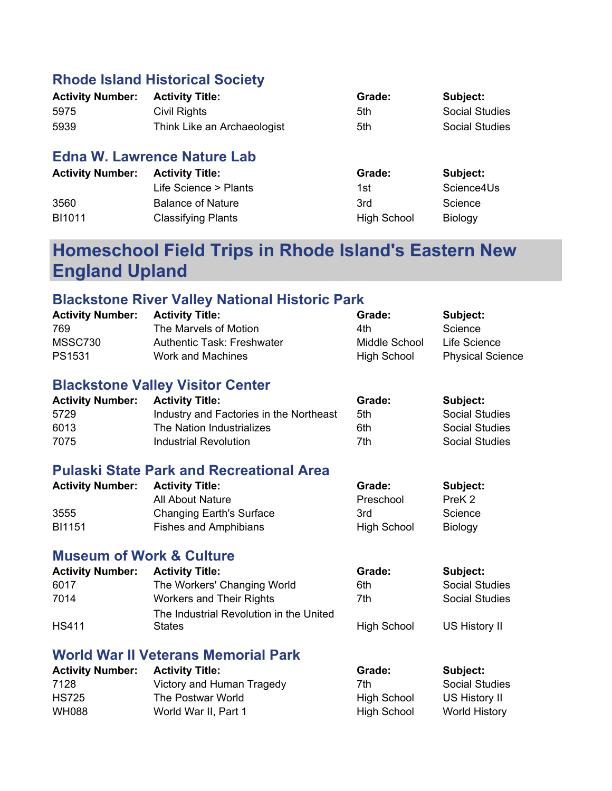### **Rhode Island Historical Society**

| <b>Activity Number:</b> | <b>Activity Title:</b>      | Grade: | Subject:              |
|-------------------------|-----------------------------|--------|-----------------------|
| 5975                    | Civil Rights                | 5th    | <b>Social Studies</b> |
| 5939                    | Think Like an Archaeologist | 5th    | Social Studies        |

### **Edna W. Lawrence Nature Lab**

| <b>Activity Number:</b> | <b>Activity Title:</b>    | Grade:             | Subject:       |
|-------------------------|---------------------------|--------------------|----------------|
|                         | Life Science > Plants     | 1st                | Science4Us     |
| 3560                    | <b>Balance of Nature</b>  | 3rd                | Science        |
| BI1011                  | <b>Classifying Plants</b> | <b>High School</b> | <b>Biology</b> |

## **Homeschool Field Trips in Rhode Island's Eastern New England Upland**

## **Blackstone River Valley National Historic Park**

| <b>Activity Number:</b>             | <b>Activity Title:</b>                          | Grade:             | Subject:                |
|-------------------------------------|-------------------------------------------------|--------------------|-------------------------|
| 769                                 | The Marvels of Motion                           | 4th                | Science                 |
| MSSC730                             | <b>Authentic Task: Freshwater</b>               | Middle School      | Life Science            |
| PS1531                              | <b>Work and Machines</b>                        | <b>High School</b> | <b>Physical Science</b> |
|                                     | <b>Blackstone Valley Visitor Center</b>         |                    |                         |
| <b>Activity Number:</b>             | <b>Activity Title:</b>                          | Grade:             | Subject:                |
| 5729                                | Industry and Factories in the Northeast         | 5th                | <b>Social Studies</b>   |
| 6013                                | The Nation Industrializes                       | 6th                | <b>Social Studies</b>   |
| 7075                                | <b>Industrial Revolution</b>                    | 7th                | <b>Social Studies</b>   |
|                                     | <b>Pulaski State Park and Recreational Area</b> |                    |                         |
| <b>Activity Number:</b>             | <b>Activity Title:</b>                          | Grade:             | Subject:                |
|                                     | <b>All About Nature</b>                         | Preschool          | PreK <sub>2</sub>       |
| 3555                                | <b>Changing Earth's Surface</b>                 | 3rd                | Science                 |
| <b>BI1151</b>                       | <b>Fishes and Amphibians</b>                    | High School        | <b>Biology</b>          |
| <b>Museum of Work &amp; Culture</b> |                                                 |                    |                         |
| <b>Activity Number:</b>             | <b>Activity Title:</b>                          | Grade:             | Subject:                |
| 6017                                | The Workers' Changing World                     | 6th                | <b>Social Studies</b>   |
| 7014                                | Workers and Their Rights                        | 7th                | <b>Social Studies</b>   |
|                                     | The Industrial Revolution in the United         |                    |                         |
| <b>HS411</b>                        | <b>States</b>                                   | <b>High School</b> | US History II           |
|                                     |                                                 |                    |                         |

#### **World War II Veterans Memorial Park**

| <b>Activity Number:</b> | <b>Activity Title:</b>    | Grade:             | Subject:              |
|-------------------------|---------------------------|--------------------|-----------------------|
| 7128                    | Victory and Human Tragedy | 7th                | <b>Social Studies</b> |
| <b>HS725</b>            | The Postwar World         | <b>High School</b> | US History II         |
| <b>WH088</b>            | World War II, Part 1      | <b>High School</b> | World History         |